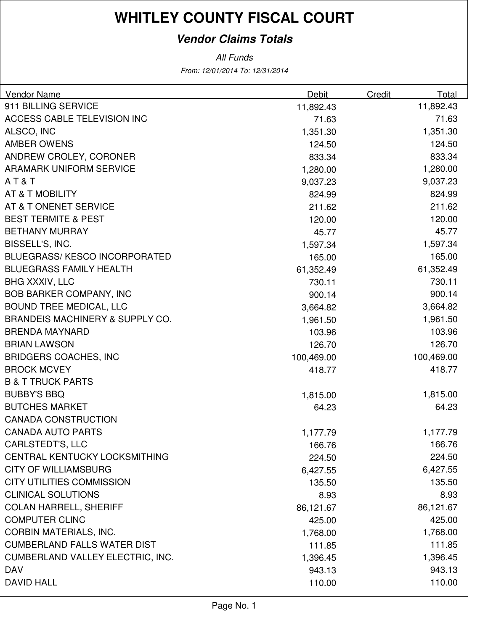### **Vendor Claims Totals**

From: 12/01/2014 To: 12/31/2014 All Funds

| <b>Vendor Name</b>                   | Debit      | Credit | Total      |
|--------------------------------------|------------|--------|------------|
| 911 BILLING SERVICE                  | 11,892.43  |        | 11,892.43  |
| ACCESS CABLE TELEVISION INC          | 71.63      |        | 71.63      |
| ALSCO, INC                           | 1,351.30   |        | 1,351.30   |
| <b>AMBER OWENS</b>                   | 124.50     |        | 124.50     |
| ANDREW CROLEY, CORONER               | 833.34     |        | 833.34     |
| <b>ARAMARK UNIFORM SERVICE</b>       | 1,280.00   |        | 1,280.00   |
| AT&T                                 | 9,037.23   |        | 9,037.23   |
| AT & T MOBILITY                      | 824.99     |        | 824.99     |
| AT & T ONENET SERVICE                | 211.62     |        | 211.62     |
| <b>BEST TERMITE &amp; PEST</b>       | 120.00     |        | 120.00     |
| <b>BETHANY MURRAY</b>                | 45.77      |        | 45.77      |
| BISSELL'S, INC.                      | 1,597.34   |        | 1,597.34   |
| <b>BLUEGRASS/ KESCO INCORPORATED</b> | 165.00     |        | 165.00     |
| <b>BLUEGRASS FAMILY HEALTH</b>       | 61,352.49  |        | 61,352.49  |
| <b>BHG XXXIV, LLC</b>                | 730.11     |        | 730.11     |
| <b>BOB BARKER COMPANY, INC</b>       | 900.14     |        | 900.14     |
| <b>BOUND TREE MEDICAL, LLC</b>       | 3,664.82   |        | 3,664.82   |
| BRANDEIS MACHINERY & SUPPLY CO.      | 1,961.50   |        | 1,961.50   |
| <b>BRENDA MAYNARD</b>                | 103.96     |        | 103.96     |
| <b>BRIAN LAWSON</b>                  | 126.70     |        | 126.70     |
| <b>BRIDGERS COACHES, INC</b>         | 100,469.00 |        | 100,469.00 |
| <b>BROCK MCVEY</b>                   | 418.77     |        | 418.77     |
| <b>B &amp; T TRUCK PARTS</b>         |            |        |            |
| <b>BUBBY'S BBQ</b>                   | 1,815.00   |        | 1,815.00   |
| <b>BUTCHES MARKET</b>                | 64.23      |        | 64.23      |
| <b>CANADA CONSTRUCTION</b>           |            |        |            |
| <b>CANADA AUTO PARTS</b>             | 1,177.79   |        | 1,177.79   |
| <b>CARLSTEDT'S, LLC</b>              | 166.76     |        | 166.76     |
| CENTRAL KENTUCKY LOCKSMITHING        | 224.50     |        | 224.50     |
| <b>CITY OF WILLIAMSBURG</b>          | 6,427.55   |        | 6,427.55   |
| <b>CITY UTILITIES COMMISSION</b>     | 135.50     |        | 135.50     |
| <b>CLINICAL SOLUTIONS</b>            | 8.93       |        | 8.93       |
| <b>COLAN HARRELL, SHERIFF</b>        | 86,121.67  |        | 86,121.67  |
| <b>COMPUTER CLINC</b>                | 425.00     |        | 425.00     |
| <b>CORBIN MATERIALS, INC.</b>        | 1,768.00   |        | 1,768.00   |
| <b>CUMBERLAND FALLS WATER DIST</b>   | 111.85     |        | 111.85     |
| CUMBERLAND VALLEY ELECTRIC, INC.     | 1,396.45   |        | 1,396.45   |
| <b>DAV</b>                           | 943.13     |        | 943.13     |
| <b>DAVID HALL</b>                    | 110.00     |        | 110.00     |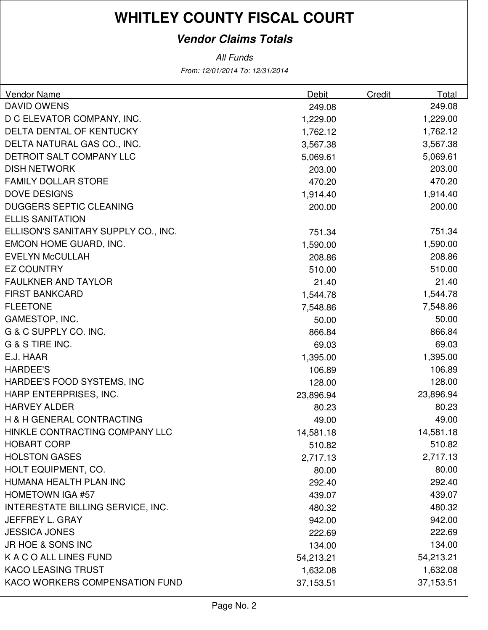#### **Vendor Claims Totals**

From: 12/01/2014 To: 12/31/2014 All Funds

| Vendor Name                         | Debit     | Credit | Total     |
|-------------------------------------|-----------|--------|-----------|
| <b>DAVID OWENS</b>                  | 249.08    |        | 249.08    |
| D C ELEVATOR COMPANY, INC.          | 1,229.00  |        | 1,229.00  |
| DELTA DENTAL OF KENTUCKY            | 1,762.12  |        | 1,762.12  |
| DELTA NATURAL GAS CO., INC.         | 3,567.38  |        | 3,567.38  |
| DETROIT SALT COMPANY LLC            | 5,069.61  |        | 5,069.61  |
| <b>DISH NETWORK</b>                 | 203.00    |        | 203.00    |
| <b>FAMILY DOLLAR STORE</b>          | 470.20    |        | 470.20    |
| <b>DOVE DESIGNS</b>                 | 1,914.40  |        | 1,914.40  |
| <b>DUGGERS SEPTIC CLEANING</b>      | 200.00    |        | 200.00    |
| <b>ELLIS SANITATION</b>             |           |        |           |
| ELLISON'S SANITARY SUPPLY CO., INC. | 751.34    |        | 751.34    |
| EMCON HOME GUARD, INC.              | 1,590.00  |        | 1,590.00  |
| <b>EVELYN McCULLAH</b>              | 208.86    |        | 208.86    |
| <b>EZ COUNTRY</b>                   | 510.00    |        | 510.00    |
| <b>FAULKNER AND TAYLOR</b>          | 21.40     |        | 21.40     |
| <b>FIRST BANKCARD</b>               | 1,544.78  |        | 1,544.78  |
| <b>FLEETONE</b>                     | 7,548.86  |        | 7,548.86  |
| GAMESTOP, INC.                      | 50.00     |        | 50.00     |
| G & C SUPPLY CO. INC.               | 866.84    |        | 866.84    |
| G & S TIRE INC.                     | 69.03     |        | 69.03     |
| E.J. HAAR                           | 1,395.00  |        | 1,395.00  |
| <b>HARDEE'S</b>                     | 106.89    |        | 106.89    |
| HARDEE'S FOOD SYSTEMS, INC          | 128.00    |        | 128.00    |
| HARP ENTERPRISES, INC.              | 23,896.94 |        | 23,896.94 |
| <b>HARVEY ALDER</b>                 | 80.23     |        | 80.23     |
| H & H GENERAL CONTRACTING           | 49.00     |        | 49.00     |
| HINKLE CONTRACTING COMPANY LLC      | 14,581.18 |        | 14,581.18 |
| <b>HOBART CORP</b>                  | 510.82    |        | 510.82    |
| <b>HOLSTON GASES</b>                | 2,717.13  |        | 2,717.13  |
| HOLT EQUIPMENT, CO.                 | 80.00     |        | 80.00     |
| HUMANA HEALTH PLAN INC              | 292.40    |        | 292.40    |
| <b>HOMETOWN IGA #57</b>             | 439.07    |        | 439.07    |
| INTERESTATE BILLING SERVICE, INC.   | 480.32    |        | 480.32    |
| <b>JEFFREY L. GRAY</b>              | 942.00    |        | 942.00    |
| <b>JESSICA JONES</b>                | 222.69    |        | 222.69    |
| JR HOE & SONS INC                   | 134.00    |        | 134.00    |
| K A C O ALL LINES FUND              | 54,213.21 |        | 54,213.21 |
| <b>KACO LEASING TRUST</b>           | 1,632.08  |        | 1,632.08  |
| KACO WORKERS COMPENSATION FUND      | 37,153.51 |        | 37,153.51 |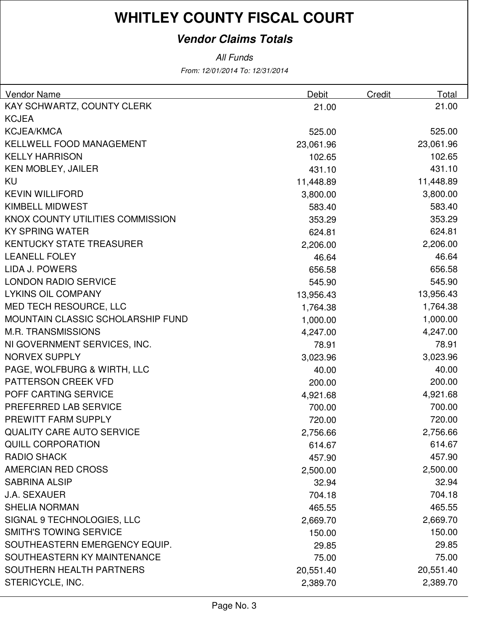#### **Vendor Claims Totals**

All Funds

From: 12/01/2014 To: 12/31/2014

| Vendor Name                       | Debit     | Credit | Total     |
|-----------------------------------|-----------|--------|-----------|
| KAY SCHWARTZ, COUNTY CLERK        | 21.00     |        | 21.00     |
| <b>KCJEA</b>                      |           |        |           |
| <b>KCJEA/KMCA</b>                 | 525.00    |        | 525.00    |
| KELLWELL FOOD MANAGEMENT          | 23,061.96 |        | 23,061.96 |
| <b>KELLY HARRISON</b>             | 102.65    |        | 102.65    |
| <b>KEN MOBLEY, JAILER</b>         | 431.10    |        | 431.10    |
| KU                                | 11,448.89 |        | 11,448.89 |
| <b>KEVIN WILLIFORD</b>            | 3,800.00  |        | 3,800.00  |
| <b>KIMBELL MIDWEST</b>            | 583.40    |        | 583.40    |
| KNOX COUNTY UTILITIES COMMISSION  | 353.29    |        | 353.29    |
| <b>KY SPRING WATER</b>            | 624.81    |        | 624.81    |
| <b>KENTUCKY STATE TREASURER</b>   | 2,206.00  |        | 2,206.00  |
| <b>LEANELL FOLEY</b>              | 46.64     |        | 46.64     |
| LIDA J. POWERS                    | 656.58    |        | 656.58    |
| <b>LONDON RADIO SERVICE</b>       | 545.90    |        | 545.90    |
| <b>LYKINS OIL COMPANY</b>         | 13,956.43 |        | 13,956.43 |
| MED TECH RESOURCE, LLC            | 1,764.38  |        | 1,764.38  |
| MOUNTAIN CLASSIC SCHOLARSHIP FUND | 1,000.00  |        | 1,000.00  |
| <b>M.R. TRANSMISSIONS</b>         | 4,247.00  |        | 4,247.00  |
| NI GOVERNMENT SERVICES, INC.      | 78.91     |        | 78.91     |
| <b>NORVEX SUPPLY</b>              | 3,023.96  |        | 3,023.96  |
| PAGE, WOLFBURG & WIRTH, LLC       | 40.00     |        | 40.00     |
| PATTERSON CREEK VFD               | 200.00    |        | 200.00    |
| POFF CARTING SERVICE              | 4,921.68  |        | 4,921.68  |
| PREFERRED LAB SERVICE             | 700.00    |        | 700.00    |
| PREWITT FARM SUPPLY               | 720.00    |        | 720.00    |
| <b>QUALITY CARE AUTO SERVICE</b>  | 2,756.66  |        | 2,756.66  |
| <b>QUILL CORPORATION</b>          | 614.67    |        | 614.67    |
| <b>RADIO SHACK</b>                | 457.90    |        | 457.90    |
| <b>AMERCIAN RED CROSS</b>         | 2,500.00  |        | 2,500.00  |
| <b>SABRINA ALSIP</b>              | 32.94     |        | 32.94     |
| <b>J.A. SEXAUER</b>               | 704.18    |        | 704.18    |
| <b>SHELIA NORMAN</b>              | 465.55    |        | 465.55    |
| SIGNAL 9 TECHNOLOGIES, LLC        | 2,669.70  |        | 2,669.70  |
| <b>SMITH'S TOWING SERVICE</b>     | 150.00    |        | 150.00    |
| SOUTHEASTERN EMERGENCY EQUIP.     | 29.85     |        | 29.85     |
| SOUTHEASTERN KY MAINTENANCE       | 75.00     |        | 75.00     |
| <b>SOUTHERN HEALTH PARTNERS</b>   | 20,551.40 |        | 20,551.40 |
| STERICYCLE, INC.                  | 2,389.70  |        | 2,389.70  |